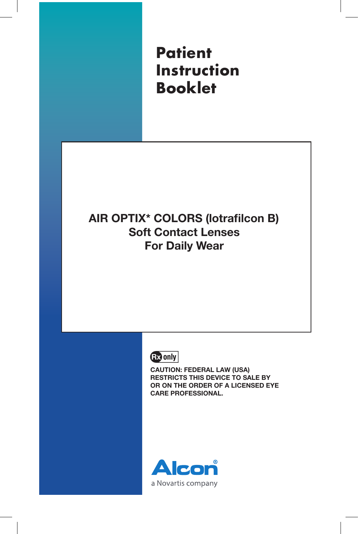**Patient Instruction Booklet**

# **AIR OPTIX\* COLORS (lotrafilcon B) Soft Contact Lenses For Daily Wear**



CAUTION: FEDERAL LAW (USA) RESTRICTS THIS DEVICE TO SALE BY OR ON THE ORDER OF A LICENSED EYE CARE PROFESSIONAL.

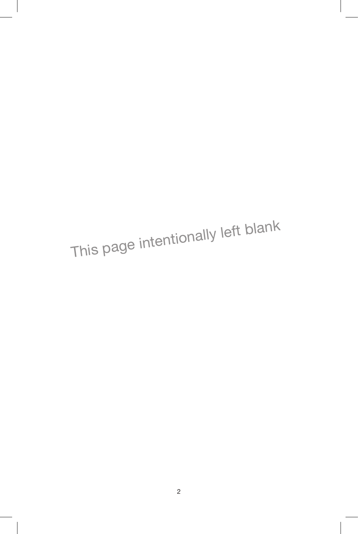This page intentionally left blank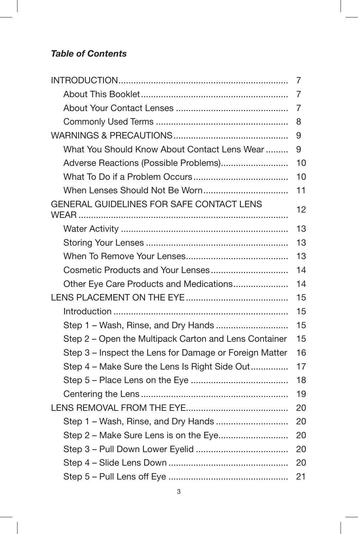## *Table of Contents*

|                                                        | 7              |
|--------------------------------------------------------|----------------|
|                                                        | 7              |
|                                                        | $\overline{7}$ |
|                                                        | 8              |
|                                                        | 9              |
| What You Should Know About Contact Lens Wear           | 9              |
| Adverse Reactions (Possible Problems)                  | 10             |
|                                                        | 10             |
|                                                        | 11             |
| GENERAL GUIDELINES FOR SAFE CONTACT LENS               | 12             |
|                                                        | 13             |
|                                                        | 13             |
|                                                        | 13             |
| Cosmetic Products and Your Lenses                      | 14             |
| Other Eye Care Products and Medications                | 14             |
|                                                        | 15             |
|                                                        | 15             |
| Step 1 – Wash, Rinse, and Dry Hands                    | 15             |
| Step 2 – Open the Multipack Carton and Lens Container  | 15             |
| Step 3 - Inspect the Lens for Damage or Foreign Matter | 16             |
| Step 4 - Make Sure the Lens Is Right Side Out          | 17             |
|                                                        | 18             |
|                                                        | 19             |
|                                                        | 20             |
| Step 1 - Wash, Rinse, and Dry Hands                    | 20             |
| Step 2 - Make Sure Lens is on the Eye                  | 20             |
|                                                        | 20             |
|                                                        | 20             |
|                                                        | 21             |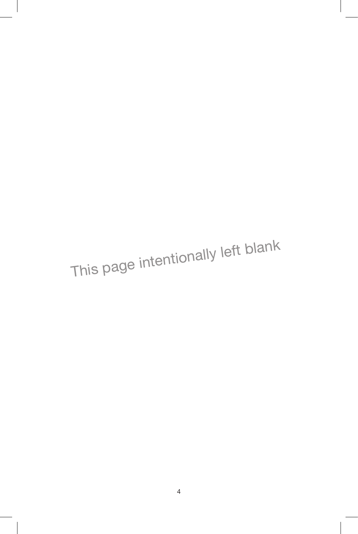This page intentionally left blank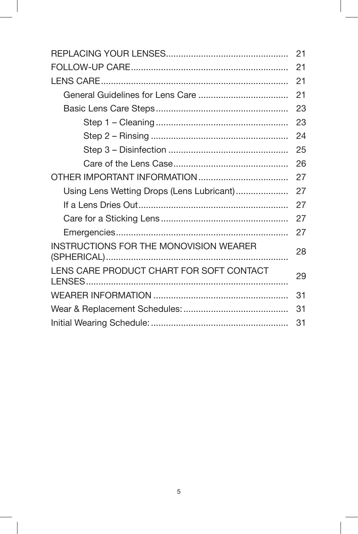|                                               | 21 |
|-----------------------------------------------|----|
|                                               | 21 |
|                                               | 21 |
|                                               | 21 |
|                                               | 23 |
|                                               | 23 |
|                                               | 24 |
|                                               | 25 |
|                                               | 26 |
|                                               | 27 |
| Using Lens Wetting Drops (Lens Lubricant)     | 27 |
|                                               | 27 |
|                                               | 27 |
|                                               | 27 |
| <b>INSTRUCTIONS FOR THE MONOVISION WEARER</b> | 28 |
| LENS CARE PRODUCT CHART FOR SOFT CONTACT      | 29 |
|                                               | 31 |
|                                               | 31 |
|                                               | 31 |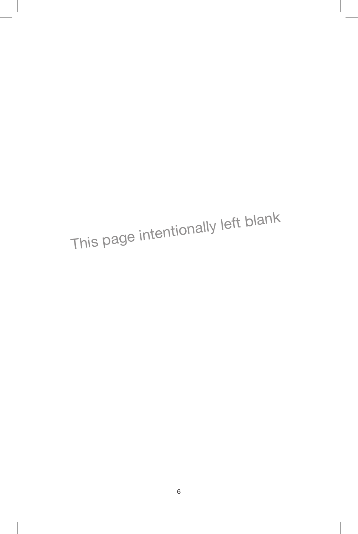This page intentionally left blank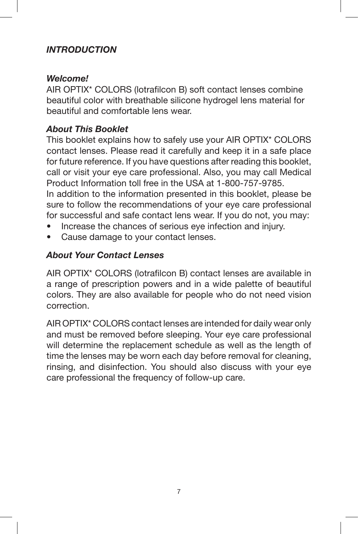#### *INTRODUCTION*

#### *Welcome!*

AIR OPTIX\* COLORS (lotrafilcon B) soft contact lenses combine beautiful color with breathable silicone hydrogel lens material for beautiful and comfortable lens wear.

#### *About This Booklet*

This booklet explains how to safely use your AIR OPTIX\* COLORS contact lenses. Please read it carefully and keep it in a safe place for future reference. If you have questions after reading this booklet, call or visit your eye care professional. Also, you may call Medical Product Information toll free in the USA at 1-800-757-9785.

In addition to the information presented in this booklet, please be sure to follow the recommendations of your eye care professional for successful and safe contact lens wear. If you do not, you may:

- Increase the chances of serious eye infection and injury.
- Cause damage to your contact lenses.

#### *About Your Contact Lenses*

AIR OPTIX\* COLORS (lotrafilcon B) contact lenses are available in a range of prescription powers and in a wide palette of beautiful colors. They are also available for people who do not need vision correction.

AIR OPTIX\* COLORS contact lenses are intended for daily wear only and must be removed before sleeping. Your eye care professional will determine the replacement schedule as well as the length of time the lenses may be worn each day before removal for cleaning, rinsing, and disinfection. You should also discuss with your eye care professional the frequency of follow-up care.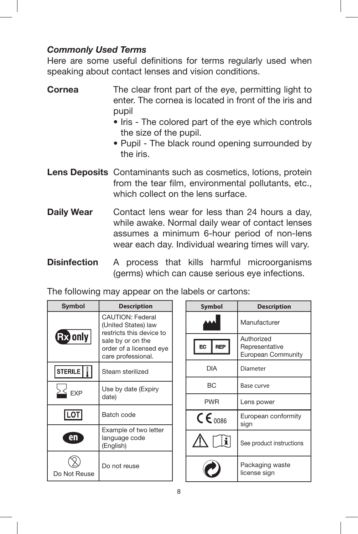#### *Commonly Used Terms*

Here are some useful definitions for terms regularly used when speaking about contact lenses and vision conditions.

- **Cornea** The clear front part of the eye, permitting light to enter. The cornea is located in front of the iris and pupil
	- Iris The colored part of the eve which controls the size of the pupil.
	- Pupil The black round opening surrounded by the iris.
- Lens Deposits Contaminants such as cosmetics, lotions, protein from the tear film, environmental pollutants, etc., which collect on the lens surface.
- Daily Wear Contact lens wear for less than 24 hours a day, while awake. Normal daily wear of contact lenses assumes a minimum 6-hour period of non-lens wear each day. Individual wearing times will vary.
- **Disinfection** A process that kills harmful microorganisms (germs) which can cause serious eye infections.

The following may appear on the labels or cartons:

| <b>Symbol</b>  | <b>Description</b>                                                         | <b>Symbol</b>       |
|----------------|----------------------------------------------------------------------------|---------------------|
|                | <b>CAUTION: Federal</b><br>(United States) law<br>restricts this device to |                     |
| $Ex$ only      | sale by or on the<br>order of a licensed eye<br>care professional.         | <b>REP</b><br>EC    |
| <b>STERILE</b> | Steam sterilized                                                           | <b>DIA</b>          |
| <b>EXP</b>     | Use by date (Expiry                                                        | BC                  |
|                | date)                                                                      | <b>PWR</b>          |
| <b>LOT</b>     | Batch code                                                                 | $C \epsilon_{0086}$ |
| en             | Example of two letter<br>language code<br>(English)                        |                     |
| Do Not Reuse   | Do not reuse                                                               |                     |

| Symbol                        | <b>Description</b>                                        |  |  |
|-------------------------------|-----------------------------------------------------------|--|--|
|                               | Manufacturer                                              |  |  |
| EC<br><b>REP</b>              | Authorized<br>Representative<br><b>European Community</b> |  |  |
| <b>DIA</b>                    | Diameter                                                  |  |  |
| ВC                            | Base curve                                                |  |  |
| <b>PWR</b>                    | Lens power                                                |  |  |
| $\mathsf{CE}_{\mathsf{onss}}$ | European conformity<br>sign                               |  |  |
| i                             | See product instructions                                  |  |  |
|                               | Packaging waste<br>license sign                           |  |  |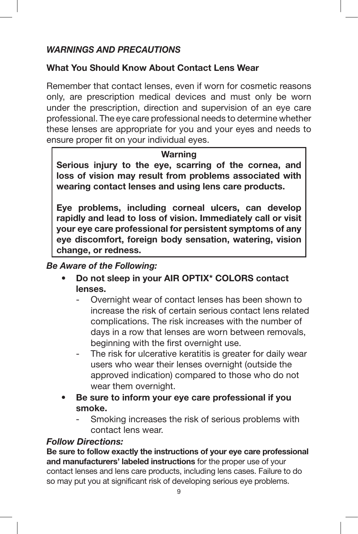# *WARNINGS AND PRECAUTIONS*

### What You Should Know About Contact Lens Wear

Remember that contact lenses, even if worn for cosmetic reasons only, are prescription medical devices and must only be worn under the prescription, direction and supervision of an eye care professional. The eye care professional needs to determine whether these lenses are appropriate for you and your eyes and needs to ensure proper fit on your individual eyes.

#### Warning

Serious injury to the eye, scarring of the cornea, and loss of vision may result from problems associated with wearing contact lenses and using lens care products.

Eye problems, including corneal ulcers, can develop rapidly and lead to loss of vision. Immediately call or visit your eye care professional for persistent symptoms of any eye discomfort, foreign body sensation, watering, vision change, or redness.

#### *Be Aware of the Following:*

- Do not sleep in your AIR OPTIX\* COLORS contact lenses.
	- Overnight wear of contact lenses has been shown to increase the risk of certain serious contact lens related complications. The risk increases with the number of days in a row that lenses are worn between removals, beginning with the first overnight use.
	- The risk for ulcerative keratitis is greater for daily wear users who wear their lenses overnight (outside the approved indication) compared to those who do not wear them overnight.
- Be sure to inform your eye care professional if you smoke.
	- Smoking increases the risk of serious problems with contact lens wear.

#### *Follow Directions:*

Be sure to follow exactly the instructions of your eye care professional and manufacturers' labeled instructions for the proper use of your contact lenses and lens care products, including lens cases. Failure to do so may put you at significant risk of developing serious eye problems.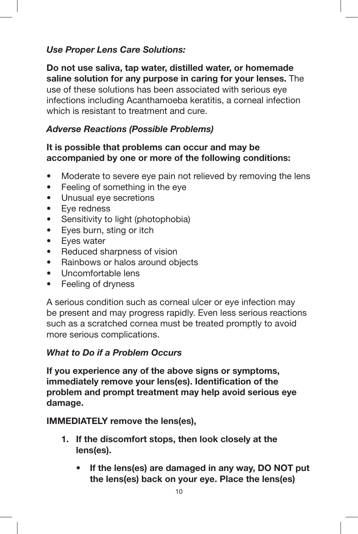# *Use Proper Lens Care Solutions:*

Do not use saliva, tap water, distilled water, or homemade saline solution for any purpose in caring for your lenses. The use of these solutions has been associated with serious eye infections including Acanthamoeba keratitis, a corneal infection which is resistant to treatment and cure.

### *Adverse Reactions (Possible Problems)*

#### It is possible that problems can occur and may be accompanied by one or more of the following conditions:

- Moderate to severe eye pain not relieved by removing the lens
- Feeling of something in the eye
- Unusual eye secretions
- Eye redness
- Sensitivity to light (photophobia)
- Eyes burn, sting or itch
- Eyes water
- Reduced sharpness of vision
- Rainbows or halos around objects
- Uncomfortable lens
- Feeling of dryness

A serious condition such as corneal ulcer or eye infection may be present and may progress rapidly. Even less serious reactions such as a scratched cornea must be treated promptly to avoid more serious complications.

### *What to Do if a Problem Occurs*

If you experience any of the above signs or symptoms, immediately remove your lens(es). Identification of the problem and prompt treatment may help avoid serious eye damage.

IMMEDIATELY remove the lens(es),

- 1. If the discomfort stops, then look closely at the lens(es).
	- If the lens(es) are damaged in any way, DO NOT put the lens(es) back on your eye. Place the lens(es)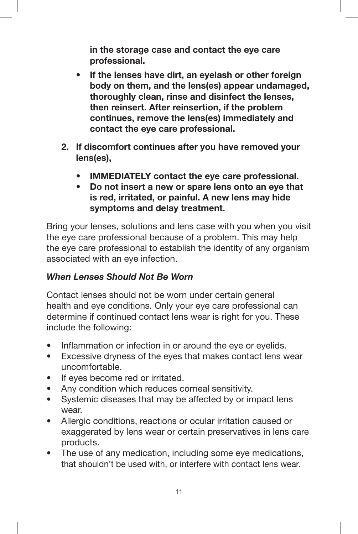in the storage case and contact the eye care professional.

- If the lenses have dirt, an eyelash or other foreign body on them, and the lens(es) appear undamaged, thoroughly clean, rinse and disinfect the lenses, then reinsert. After reinsertion, if the problem continues, remove the lens(es) immediately and contact the eye care professional.
- 2. If discomfort continues after you have removed your lens(es),
	- IMMEDIATELY contact the eye care professional.
	- Do not insert a new or spare lens onto an eye that is red, irritated, or painful. A new lens may hide symptoms and delay treatment.

Bring your lenses, solutions and lens case with you when you visit the eye care professional because of a problem. This may help the eye care professional to establish the identity of any organism associated with an eye infection.

# *When Lenses Should Not Be Worn*

Contact lenses should not be worn under certain general health and eye conditions. Only your eye care professional can determine if continued contact lens wear is right for you. These include the following:

- Inflammation or infection in or around the eye or eyelids.
- Excessive dryness of the eyes that makes contact lens wear uncomfortable.
- If eyes become red or irritated.
- Any condition which reduces corneal sensitivity.
- Systemic diseases that may be affected by or impact lens wear.
- Allergic conditions, reactions or ocular irritation caused or exaggerated by lens wear or certain preservatives in lens care products.
- The use of any medication, including some eye medications, that shouldn't be used with, or interfere with contact lens wear.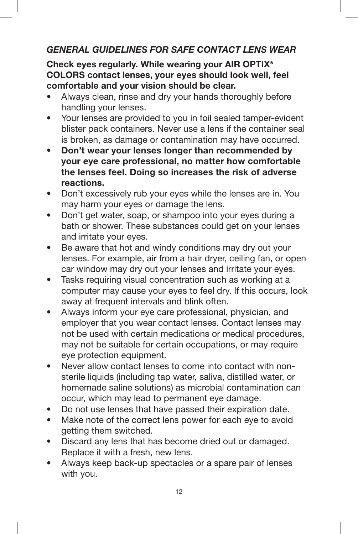## *GENERAL GUIDELINES FOR SAFE CONTACT LENS WEAR*

#### Check eyes regularly. While wearing your AIR OPTIX\* COLORS contact lenses, your eyes should look well, feel comfortable and your vision should be clear.

- Always clean, rinse and dry your hands thoroughly before handling your lenses.
- Your lenses are provided to you in foil sealed tamper-evident blister pack containers. Never use a lens if the container seal is broken, as damage or contamination may have occurred.
- Don't wear your lenses longer than recommended by your eye care professional, no matter how comfortable the lenses feel. Doing so increases the risk of adverse reactions.
- Don't excessively rub your eyes while the lenses are in. You may harm your eyes or damage the lens.
- Don't get water, soap, or shampoo into your eyes during a bath or shower. These substances could get on your lenses and irritate your eyes.
- Be aware that hot and windy conditions may dry out your lenses. For example, air from a hair dryer, ceiling fan, or open car window may dry out your lenses and irritate your eyes.
- Tasks requiring visual concentration such as working at a computer may cause your eyes to feel dry. If this occurs, look away at frequent intervals and blink often.
- Always inform your eye care professional, physician, and employer that you wear contact lenses. Contact lenses may not be used with certain medications or medical procedures, may not be suitable for certain occupations, or may require eye protection equipment.
- Never allow contact lenses to come into contact with nonsterile liquids (including tap water, saliva, distilled water, or homemade saline solutions) as microbial contamination can occur, which may lead to permanent eye damage.
- Do not use lenses that have passed their expiration date.
- Make note of the correct lens power for each eye to avoid getting them switched.
- Discard any lens that has become dried out or damaged. Replace it with a fresh, new lens.
- Always keep back-up spectacles or a spare pair of lenses with you.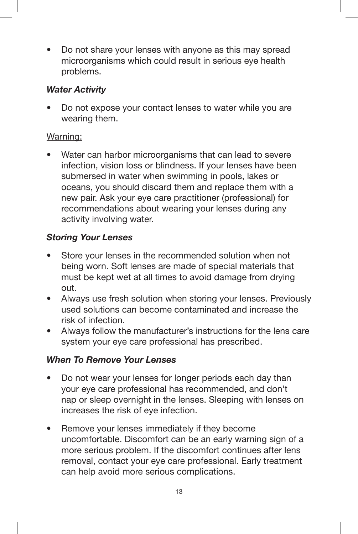• Do not share your lenses with anyone as this may spread microorganisms which could result in serious eye health problems.

# *Water Activity*

• Do not expose your contact lenses to water while you are wearing them.

### Warning:

• Water can harbor microorganisms that can lead to severe infection, vision loss or blindness. If your lenses have been submersed in water when swimming in pools, lakes or oceans, you should discard them and replace them with a new pair. Ask your eye care practitioner (professional) for recommendations about wearing your lenses during any activity involving water.

# *Storing Your Lenses*

- Store your lenses in the recommended solution when not being worn. Soft lenses are made of special materials that must be kept wet at all times to avoid damage from drying out.
- Always use fresh solution when storing your lenses. Previously used solutions can become contaminated and increase the risk of infection.
- Always follow the manufacturer's instructions for the lens care system your eye care professional has prescribed.

# *When To Remove Your Lenses*

- Do not wear your lenses for longer periods each day than your eye care professional has recommended, and don't nap or sleep overnight in the lenses. Sleeping with lenses on increases the risk of eye infection.
- Remove your lenses immediately if they become uncomfortable. Discomfort can be an early warning sign of a more serious problem. If the discomfort continues after lens removal, contact your eye care professional. Early treatment can help avoid more serious complications.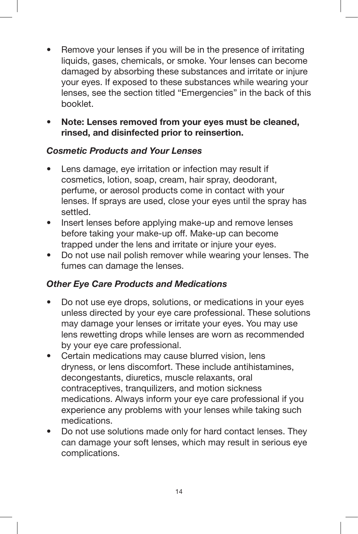- Remove your lenses if you will be in the presence of irritating liquids, gases, chemicals, or smoke. Your lenses can become damaged by absorbing these substances and irritate or injure your eyes. If exposed to these substances while wearing your lenses, see the section titled "Emergencies" in the back of this booklet.
- Note: Lenses removed from your eyes must be cleaned, rinsed, and disinfected prior to reinsertion.

### *Cosmetic Products and Your Lenses*

- Lens damage, eye irritation or infection may result if cosmetics, lotion, soap, cream, hair spray, deodorant, perfume, or aerosol products come in contact with your lenses. If sprays are used, close your eyes until the spray has settled.
- Insert lenses before applying make-up and remove lenses before taking your make-up off. Make-up can become trapped under the lens and irritate or injure your eyes.
- Do not use nail polish remover while wearing your lenses. The fumes can damage the lenses.

### *Other Eye Care Products and Medications*

- Do not use eye drops, solutions, or medications in your eyes unless directed by your eye care professional. These solutions may damage your lenses or irritate your eyes. You may use lens rewetting drops while lenses are worn as recommended by your eye care professional.
- Certain medications may cause blurred vision, lens dryness, or lens discomfort. These include antihistamines, decongestants, diuretics, muscle relaxants, oral contraceptives, tranquilizers, and motion sickness medications. Always inform your eye care professional if you experience any problems with your lenses while taking such medications.
- Do not use solutions made only for hard contact lenses. They can damage your soft lenses, which may result in serious eye complications.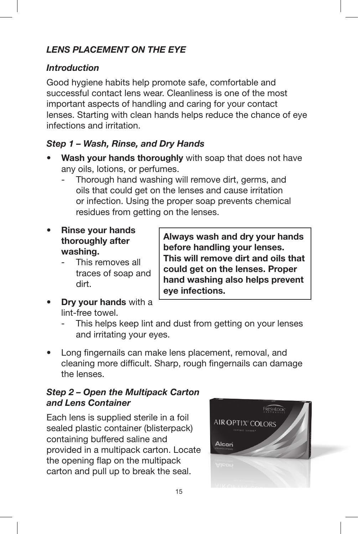# *LENS PLACEMENT ON THE EYE*

### *Introduction*

Good hygiene habits help promote safe, comfortable and successful contact lens wear. Cleanliness is one of the most important aspects of handling and caring for your contact lenses. Starting with clean hands helps reduce the chance of eye infections and irritation.

## *Step 1 – Wash, Rinse, and Dry Hands*

- Wash your hands thoroughly with soap that does not have any oils, lotions, or perfumes.
	- Thorough hand washing will remove dirt, germs, and oils that could get on the lenses and cause irritation or infection. Using the proper soap prevents chemical residues from getting on the lenses.
- Rinse your hands thoroughly after washing.
	- This removes all traces of soap and dirt.

Always wash and dry your hands before handling your lenses. This will remove dirt and oils that could get on the lenses. Proper hand washing also helps prevent eye infections.

- **Dry your hands** with a lint-free towel.
	- This helps keep lint and dust from getting on your lenses and irritating your eyes.
- Long fingernails can make lens placement, removal, and cleaning more difficult. Sharp, rough fingernails can damage the lenses.

# *Step 2 – Open the Multipack Carton and Lens Container*

Each lens is supplied sterile in a foil sealed plastic container (blisterpack) containing buffered saline and provided in a multipack carton. Locate the opening flap on the multipack carton and pull up to break the seal.

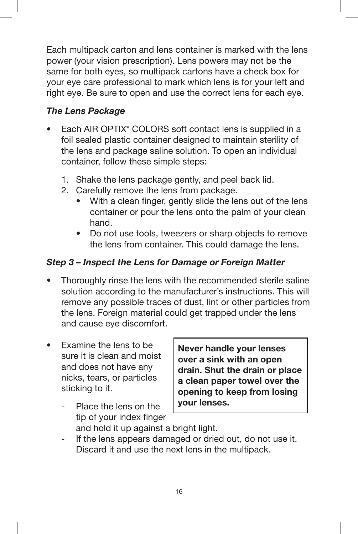Each multipack carton and lens container is marked with the lens power (your vision prescription). Lens powers may not be the same for both eyes, so multipack cartons have a check box for your eye care professional to mark which lens is for your left and right eye. Be sure to open and use the correct lens for each eye.

## *The Lens Package*

- Each AIR OPTIX<sup>\*</sup> COLORS soft contact lens is supplied in a foil sealed plastic container designed to maintain sterility of the lens and package saline solution. To open an individual container, follow these simple steps:
	- 1. Shake the lens package gently, and peel back lid.
	- 2. Carefully remove the lens from package.
		- With a clean finger, gently slide the lens out of the lens container or pour the lens onto the palm of your clean hand.
		- Do not use tools, tweezers or sharp objects to remove the lens from container. This could damage the lens.

## *Step 3 – Inspect the Lens for Damage or Foreign Matter*

- Thoroughly rinse the lens with the recommended sterile saline solution according to the manufacturer's instructions. This will remove any possible traces of dust, lint or other particles from the lens. Foreign material could get trapped under the lens and cause eye discomfort.
- Examine the lens to be sure it is clean and moist and does not have any nicks, tears, or particles sticking to it.

Never handle your lenses over a sink with an open drain. Shut the drain or place a clean paper towel over the opening to keep from losing your lenses.

- Place the lens on the tip of your index finger and hold it up against a bright light.
- If the lens appears damaged or dried out, do not use it. Discard it and use the next lens in the multipack.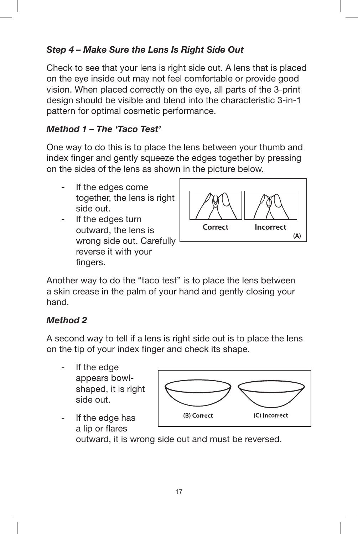# *Step 4 – Make Sure the Lens Is Right Side Out*

Check to see that your lens is right side out. A lens that is placed on the eye inside out may not feel comfortable or provide good vision. When placed correctly on the eye, all parts of the 3-print design should be visible and blend into the characteristic 3-in-1 pattern for optimal cosmetic performance.

# *Method 1 – The 'Taco Test'*

One way to do this is to place the lens between your thumb and index finger and gently squeeze the edges together by pressing on the sides of the lens as shown in the picture below.

- If the edges come together, the lens is right side out.
- If the edges turn outward, the lens is wrong side out. Carefully reverse it with your fingers.



Another way to do the "taco test" is to place the lens between a skin crease in the palm of your hand and gently closing your hand.

### *Method 2*

A second way to tell if a lens is right side out is to place the lens on the tip of your index finger and check its shape.

- If the edge appears bowlshaped, it is right side out.



If the edge has a lip or flares outward, it is wrong side out and must be reversed.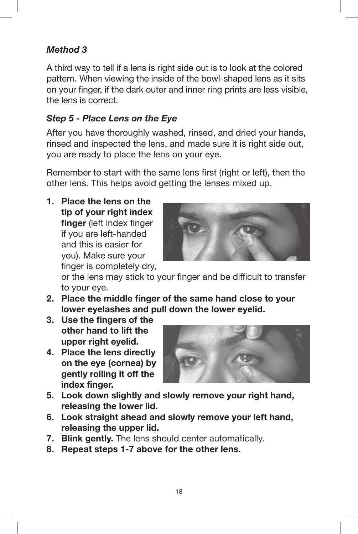# *Method 3*

A third way to tell if a lens is right side out is to look at the colored pattern. When viewing the inside of the bowl-shaped lens as it sits on your finger, if the dark outer and inner ring prints are less visible, the lens is correct.

## *Step 5 - Place Lens on the Eye*

After you have thoroughly washed, rinsed, and dried your hands, rinsed and inspected the lens, and made sure it is right side out, you are ready to place the lens on your eye.

Remember to start with the same lens first (right or left), then the other lens. This helps avoid getting the lenses mixed up.

1. Place the lens on the tip of your right index finger (left index finger if you are left-handed and this is easier for you). Make sure your finger is completely dry,



or the lens may stick to your finger and be difficult to transfer to your eye.

- 2. Place the middle finger of the same hand close to your lower eyelashes and pull down the lower eyelid.
- 3. Use the fingers of the other hand to lift the upper right eyelid.
- 4. Place the lens directly on the eye (cornea) by gently rolling it off the index finger.



- 5. Look down slightly and slowly remove your right hand, releasing the lower lid.
- 6. Look straight ahead and slowly remove your left hand, releasing the upper lid.
- 7. Blink gently. The lens should center automatically.
- 8. Repeat steps 1-7 above for the other lens.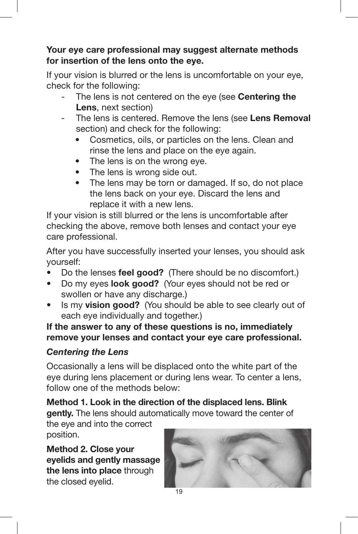#### Your eye care professional may suggest alternate methods for insertion of the lens onto the eye.

If your vision is blurred or the lens is uncomfortable on your eye, check for the following:

- The lens is not centered on the eye (see **Centering the** Lens, next section)
- The lens is centered. Remove the lens (see Lens Removal section) and check for the following:
	- Cosmetics, oils, or particles on the lens. Clean and rinse the lens and place on the eye again.
	- The lens is on the wrong eve.
	- The lens is wrong side out.
	- The lens may be torn or damaged. If so, do not place the lens back on your eye. Discard the lens and replace it with a new lens.

If your vision is still blurred or the lens is uncomfortable after checking the above, remove both lenses and contact your eye care professional.

After you have successfully inserted your lenses, you should ask yourself:

- Do the lenses feel good? (There should be no discomfort.)
- Do my eyes **look good?** (Your eyes should not be red or swollen or have any discharge.)
- Is my vision good? (You should be able to see clearly out of each eye individually and together.)

### If the answer to any of these questions is no, immediately remove your lenses and contact your eye care professional.

# *Centering the Lens*

Occasionally a lens will be displaced onto the white part of the eye during lens placement or during lens wear. To center a lens, follow one of the methods below:

# Method 1. Look in the direction of the displaced lens. Blink

gently. The lens should automatically move toward the center of

the eye and into the correct position.

Method 2. Close your evelids and gently massage the lens into place through the closed eyelid.

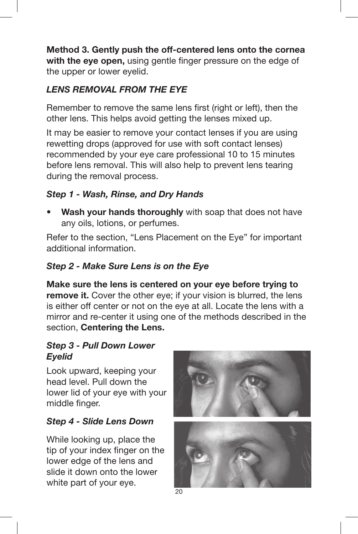Method 3. Gently push the off-centered lens onto the cornea with the eye open, using gentle finger pressure on the edge of the upper or lower eyelid.

# *LENS REMOVAL FROM THE EYE*

Remember to remove the same lens first (right or left), then the other lens. This helps avoid getting the lenses mixed up.

It may be easier to remove your contact lenses if you are using rewetting drops (approved for use with soft contact lenses) recommended by your eye care professional 10 to 15 minutes before lens removal. This will also help to prevent lens tearing during the removal process.

# *Step 1 - Wash, Rinse, and Dry Hands*

Wash your hands thoroughly with soap that does not have any oils, lotions, or perfumes.

Refer to the section, "Lens Placement on the Eye" for important additional information.

# *Step 2 - Make Sure Lens is on the Eye*

Make sure the lens is centered on your eye before trying to **remove it.** Cover the other eve; if your vision is blurred, the lens is either off center or not on the eye at all. Locate the lens with a mirror and re-center it using one of the methods described in the section, Centering the Lens.

### *Step 3 - Pull Down Lower Eyelid*

Look upward, keeping your head level. Pull down the lower lid of your eye with your middle finger.

# *Step 4 - Slide Lens Down*

While looking up, place the tip of your index finger on the lower edge of the lens and slide it down onto the lower white part of your eye.

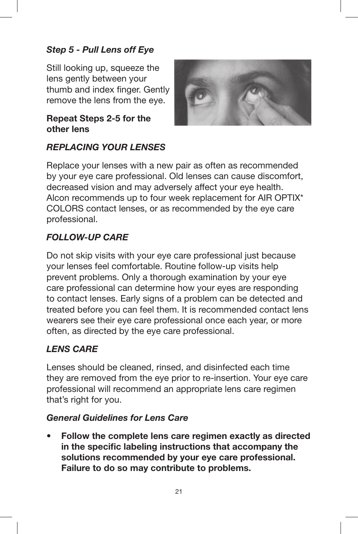# *Step 5 - Pull Lens off Eye*

Still looking up, squeeze the lens gently between your thumb and index finger. Gently remove the lens from the eye.

#### Repeat Steps 2-5 for the other lens



# *REPLACING YOUR LENSES*

Replace your lenses with a new pair as often as recommended by your eye care professional. Old lenses can cause discomfort, decreased vision and may adversely affect your eye health. Alcon recommends up to four week replacement for AIR OPTIX\* COLORS contact lenses, or as recommended by the eye care professional.

# *FOLLOW-UP CARE*

Do not skip visits with your eye care professional just because your lenses feel comfortable. Routine follow-up visits help prevent problems. Only a thorough examination by your eye care professional can determine how your eyes are responding to contact lenses. Early signs of a problem can be detected and treated before you can feel them. It is recommended contact lens wearers see their eye care professional once each year, or more often, as directed by the eye care professional.

# *LENS CARE*

Lenses should be cleaned, rinsed, and disinfected each time they are removed from the eye prior to re-insertion. Your eye care professional will recommend an appropriate lens care regimen that's right for you.

# *General Guidelines for Lens Care*

• Follow the complete lens care regimen exactly as directed in the specific labeling instructions that accompany the solutions recommended by your eye care professional. Failure to do so may contribute to problems.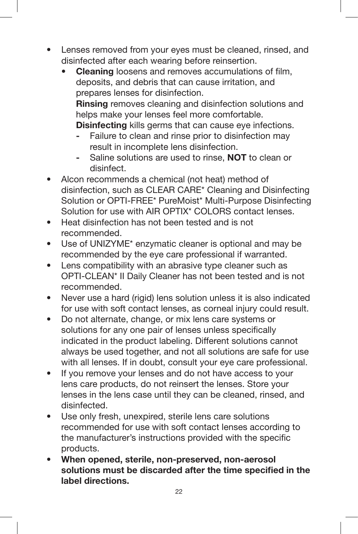- Lenses removed from your eyes must be cleaned, rinsed, and disinfected after each wearing before reinsertion.
	- Cleaning loosens and removes accumulations of film, deposits, and debris that can cause irritation, and prepares lenses for disinfection. Rinsing removes cleaning and disinfection solutions and helps make your lenses feel more comfortable. Disinfecting kills germs that can cause eye infections.
		- Failure to clean and rinse prior to disinfection may result in incomplete lens disinfection.
		- Saline solutions are used to rinse, **NOT** to clean or disinfect.
- Alcon recommends a chemical (not heat) method of disinfection, such as CLEAR CARE\* Cleaning and Disinfecting Solution or OPTI-FREE\* PureMoist\* Multi-Purpose Disinfecting Solution for use with AIR OPTIX\* COLORS contact lenses.
- Heat disinfection has not been tested and is not recommended.
- Use of UNIZYME<sup>\*</sup> enzymatic cleaner is optional and may be recommended by the eye care professional if warranted.
- Lens compatibility with an abrasive type cleaner such as OPTI-CLEAN\* II Daily Cleaner has not been tested and is not recommended.
- Never use a hard (rigid) lens solution unless it is also indicated for use with soft contact lenses, as corneal injury could result.
- Do not alternate, change, or mix lens care systems or solutions for any one pair of lenses unless specifically indicated in the product labeling. Different solutions cannot always be used together, and not all solutions are safe for use with all lenses. If in doubt, consult your eye care professional.
- If you remove your lenses and do not have access to your lens care products, do not reinsert the lenses. Store your lenses in the lens case until they can be cleaned, rinsed, and disinfected.
- Use only fresh, unexpired, sterile lens care solutions recommended for use with soft contact lenses according to the manufacturer's instructions provided with the specific products.
- When opened, sterile, non-preserved, non-aerosol solutions must be discarded after the time specified in the label directions.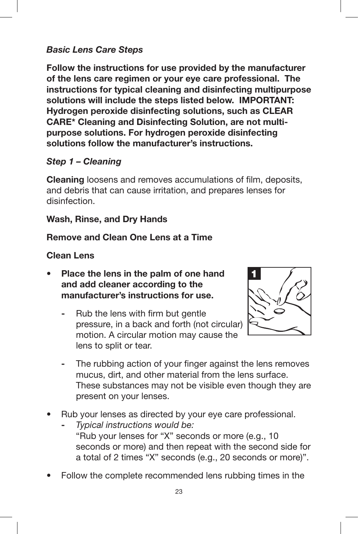# *Basic Lens Care Steps*

Follow the instructions for use provided by the manufacturer of the lens care regimen or your eye care professional. The instructions for typical cleaning and disinfecting multipurpose solutions will include the steps listed below. IMPORTANT: Hydrogen peroxide disinfecting solutions, such as CLEAR CARE\* Cleaning and Disinfecting Solution, are not multipurpose solutions. For hydrogen peroxide disinfecting solutions follow the manufacturer's instructions.

#### *Step 1 – Cleaning*

Cleaning loosens and removes accumulations of film, deposits, and debris that can cause irritation, and prepares lenses for disinfection.

#### Wash, Rinse, and Dry Hands

#### Remove and Clean One Lens at a Time

#### Clean Lens

- Place the lens in the palm of one hand and add cleaner according to the manufacturer's instructions for use.
	- Rub the lens with firm but gentle pressure, in a back and forth (not circular) motion. A circular motion may cause the lens to split or tear.



- The rubbing action of your finger against the lens removes mucus, dirt, and other material from the lens surface. These substances may not be visible even though they are present on your lenses.
- Rub your lenses as directed by your eye care professional.
	- *Typical instructions would be:*  "Rub your lenses for "X" seconds or more (e.g., 10 seconds or more) and then repeat with the second side for a total of 2 times "X" seconds (e.g., 20 seconds or more)".
- Follow the complete recommended lens rubbing times in the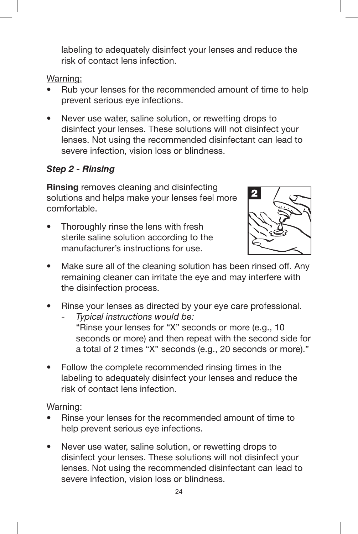labeling to adequately disinfect your lenses and reduce the risk of contact lens infection.

Warning:

- Rub your lenses for the recommended amount of time to help prevent serious eye infections.
- Never use water, saline solution, or rewetting drops to disinfect your lenses. These solutions will not disinfect your lenses. Not using the recommended disinfectant can lead to severe infection, vision loss or blindness.

# *Step 2 - Rinsing*

Rinsing removes cleaning and disinfecting solutions and helps make your lenses feel more comfortable.

Thoroughly rinse the lens with fresh sterile saline solution according to the manufacturer's instructions for use.



- Make sure all of the cleaning solution has been rinsed off. Any remaining cleaner can irritate the eye and may interfere with the disinfection process.
- Rinse your lenses as directed by your eye care professional.
	- *Typical instructions would be:*  "Rinse your lenses for "X" seconds or more (e.g., 10 seconds or more) and then repeat with the second side for a total of 2 times "X" seconds (e.g., 20 seconds or more)."
- Follow the complete recommended rinsing times in the labeling to adequately disinfect your lenses and reduce the risk of contact lens infection.

Warning:

- Rinse your lenses for the recommended amount of time to help prevent serious eye infections.
- Never use water, saline solution, or rewetting drops to disinfect your lenses. These solutions will not disinfect your lenses. Not using the recommended disinfectant can lead to severe infection, vision loss or blindness.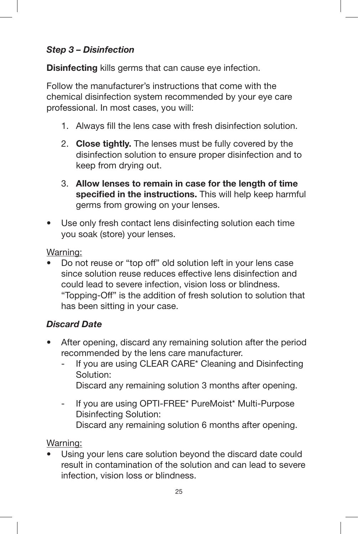# *Step 3 – Disinfection*

Disinfecting kills germs that can cause eye infection.

Follow the manufacturer's instructions that come with the chemical disinfection system recommended by your eye care professional. In most cases, you will:

- 1. Always fill the lens case with fresh disinfection solution.
- 2. Close tightly. The lenses must be fully covered by the disinfection solution to ensure proper disinfection and to keep from drying out.
- 3. Allow lenses to remain in case for the length of time specified in the instructions. This will help keep harmful germs from growing on your lenses.
- Use only fresh contact lens disinfecting solution each time you soak (store) your lenses.

Warning:

• Do not reuse or "top off" old solution left in your lens case since solution reuse reduces effective lens disinfection and could lead to severe infection, vision loss or blindness. "Topping-Off" is the addition of fresh solution to solution that has been sitting in your case.

### *Discard Date*

- After opening, discard any remaining solution after the period recommended by the lens care manufacturer.
	- If you are using CLEAR CARE\* Cleaning and Disinfecting Solution: Discard any remaining solution 3 months after opening.
	- If you are using OPTI-FREE\* PureMoist\* Multi-Purpose Disinfecting Solution: Discard any remaining solution 6 months after opening.

Warning:

Using your lens care solution beyond the discard date could result in contamination of the solution and can lead to severe infection, vision loss or blindness.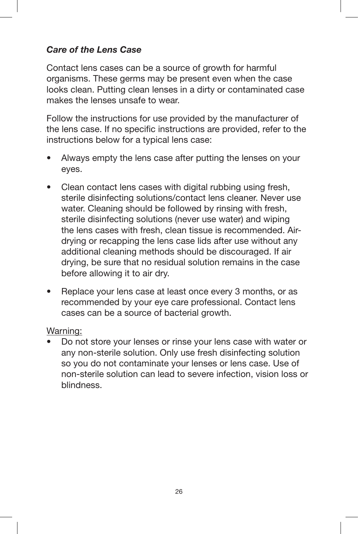## *Care of the Lens Case*

Contact lens cases can be a source of growth for harmful organisms. These germs may be present even when the case looks clean. Putting clean lenses in a dirty or contaminated case makes the lenses unsafe to wear.

Follow the instructions for use provided by the manufacturer of the lens case. If no specific instructions are provided, refer to the instructions below for a typical lens case:

- Always empty the lens case after putting the lenses on your eyes.
- Clean contact lens cases with digital rubbing using fresh, sterile disinfecting solutions/contact lens cleaner. Never use water. Cleaning should be followed by rinsing with fresh, sterile disinfecting solutions (never use water) and wiping the lens cases with fresh, clean tissue is recommended. Airdrying or recapping the lens case lids after use without any additional cleaning methods should be discouraged. If air drying, be sure that no residual solution remains in the case before allowing it to air dry.
- Replace your lens case at least once every 3 months, or as recommended by your eye care professional. Contact lens cases can be a source of bacterial growth.

#### Warning:

• Do not store your lenses or rinse your lens case with water or any non-sterile solution. Only use fresh disinfecting solution so you do not contaminate your lenses or lens case. Use of non-sterile solution can lead to severe infection, vision loss or blindness.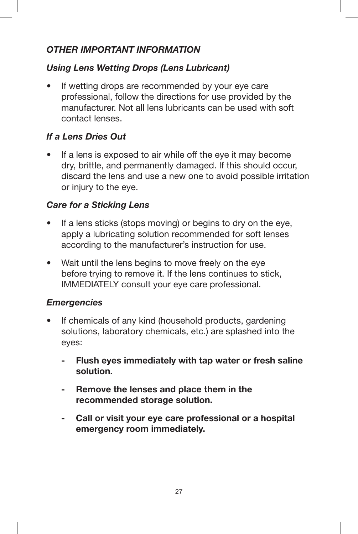# *OTHER IMPORTANT INFORMATION*

## *Using Lens Wetting Drops (Lens Lubricant)*

If wetting drops are recommended by your eye care professional, follow the directions for use provided by the manufacturer. Not all lens lubricants can be used with soft contact lenses.

### *If a Lens Dries Out*

• If a lens is exposed to air while off the eye it may become dry, brittle, and permanently damaged. If this should occur, discard the lens and use a new one to avoid possible irritation or injury to the eye.

#### *Care for a Sticking Lens*

- If a lens sticks (stops moving) or begins to dry on the eye, apply a lubricating solution recommended for soft lenses according to the manufacturer's instruction for use.
- Wait until the lens begins to move freely on the eye before trying to remove it. If the lens continues to stick, IMMEDIATELY consult your eye care professional.

### *Emergencies*

- If chemicals of any kind (household products, gardening solutions, laboratory chemicals, etc.) are splashed into the eyes:
	- Flush eyes immediately with tap water or fresh saline solution.
	- Remove the lenses and place them in the recommended storage solution.
	- Call or visit your eye care professional or a hospital emergency room immediately.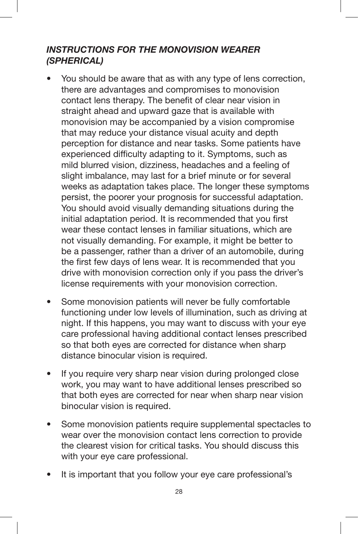## *INSTRUCTIONS FOR THE MONOVISION WEARER (SPHERICAL)*

- You should be aware that as with any type of lens correction, there are advantages and compromises to monovision contact lens therapy. The benefit of clear near vision in straight ahead and upward gaze that is available with monovision may be accompanied by a vision compromise that may reduce your distance visual acuity and depth perception for distance and near tasks. Some patients have experienced difficulty adapting to it. Symptoms, such as mild blurred vision, dizziness, headaches and a feeling of slight imbalance, may last for a brief minute or for several weeks as adaptation takes place. The longer these symptoms persist, the poorer your prognosis for successful adaptation. You should avoid visually demanding situations during the initial adaptation period. It is recommended that you first wear these contact lenses in familiar situations, which are not visually demanding. For example, it might be better to be a passenger, rather than a driver of an automobile, during the first few days of lens wear. It is recommended that you drive with monovision correction only if you pass the driver's license requirements with your monovision correction.
- Some monovision patients will never be fully comfortable functioning under low levels of illumination, such as driving at night. If this happens, you may want to discuss with your eye care professional having additional contact lenses prescribed so that both eyes are corrected for distance when sharp distance binocular vision is required.
- If you require very sharp near vision during prolonged close work, you may want to have additional lenses prescribed so that both eyes are corrected for near when sharp near vision binocular vision is required.
- Some monovision patients require supplemental spectacles to wear over the monovision contact lens correction to provide the clearest vision for critical tasks. You should discuss this with your eye care professional.
- It is important that you follow your eye care professional's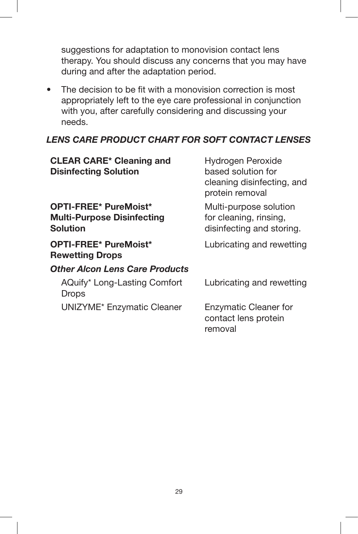suggestions for adaptation to monovision contact lens therapy. You should discuss any concerns that you may have during and after the adaptation period.

• The decision to be fit with a monovision correction is most appropriately left to the eye care professional in conjunction with you, after carefully considering and discussing your needs.

# *LENS CARE PRODUCT CHART FOR SOFT CONTACT LENSES*

| <b>CLEAR CARE* Cleaning and</b><br>Hydrogen Peroxide<br>based solution for<br><b>Disinfecting Solution</b><br>cleaning disinfecting, and<br>protein removal |                                                                               |
|-------------------------------------------------------------------------------------------------------------------------------------------------------------|-------------------------------------------------------------------------------|
| <b>OPTI-FREE* PureMoist*</b><br><b>Multi-Purpose Disinfecting</b><br><b>Solution</b>                                                                        | Multi-purpose solution<br>for cleaning, rinsing,<br>disinfecting and storing. |
| <b>OPTI-FREE* PureMoist*</b><br><b>Rewetting Drops</b>                                                                                                      | Lubricating and rewetting                                                     |
| <b>Other Alcon Lens Care Products</b>                                                                                                                       |                                                                               |
| AQuify* Long-Lasting Comfort<br><b>Drops</b>                                                                                                                | Lubricating and rewetting                                                     |
| UNIZYME <sup>*</sup> Enzymatic Cleaner                                                                                                                      | <b>Enzymatic Cleaner for</b><br>contact lens protein<br>removal               |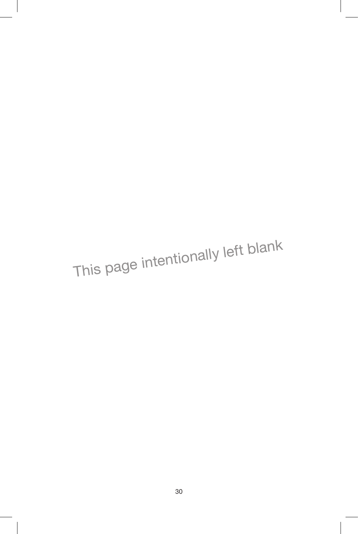This page intentionally left blank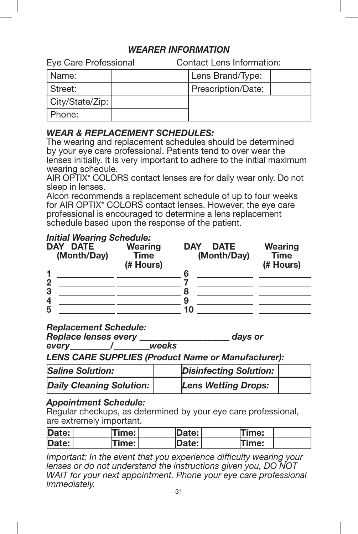#### *WEARER INFORMATION*

Eye Care Professional Contact Lens Information: Name: Lens Brand/Type: Street: Prescription/Date: City/State/Zip: Phone:

#### *WEAR & REPLACEMENT SCHEDULES:*

The wearing and replacement schedules should be determined by your eye care professional. Patients tend to over wear the lenses initially. It is very important to adhere to the initial maximum wearing schedule.

AIR OPTIX\* COLORS contact lenses are for daily wear only. Do not sleep in lenses.

Alcon recommends a replacement schedule of up to four weeks for AIR OPTIX\* COLORS contact lenses. However, the eye care professional is encouraged to determine a lens replacement schedule based upon the response of the patient.

| <b>Initial Wearing Schedule:</b><br><b>DAY DATE</b><br>(Month/Day) | Wearing<br><b>Time</b><br>(# Hours) | <b>DAY</b><br><b>DATE</b><br>(Month/Day) | Wearing<br><b>Time</b><br>(# Hours) |
|--------------------------------------------------------------------|-------------------------------------|------------------------------------------|-------------------------------------|
| 2<br>3                                                             |                                     | 6                                        |                                     |
| 4<br>5                                                             |                                     | 9<br>10                                  |                                     |

*Replacement Schedule:*

*Replace lenses every \_\_\_\_\_\_\_\_\_\_\_\_\_\_\_\_\_\_\_\_ days or* 

*every* /

*LENS CARE SUPPLIES (Product Name or Manufacturer):*

| <b>Saline Solution:</b>  | <b>Disinfecting Solution:</b> |  |
|--------------------------|-------------------------------|--|
| Daily Cleaning Solution: | <b>Lens Wetting Drops:</b>    |  |

#### *Appointment Schedule:*

Regular checkups, as determined by your eye care professional, are extremely important.

| Date: | ™e: ⊓ | Date: | Time: |  |
|-------|-------|-------|-------|--|
| Date: | Time: | Date: | Time: |  |

*Important: In the event that you experience difficulty wearing your lenses or do not understand the instructions given you, DO NOT WAIT for your next appointment. Phone your eye care professional immediately.*